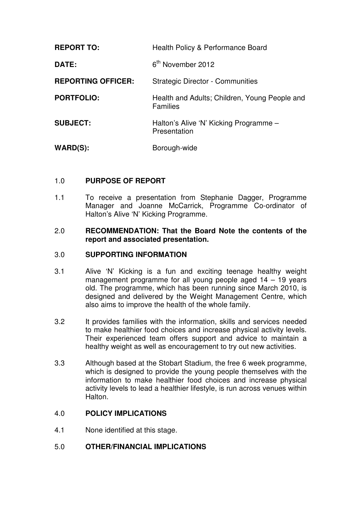| <b>REPORT TO:</b>         | Health Policy & Performance Board                                |
|---------------------------|------------------------------------------------------------------|
| <b>DATE:</b>              | 6 <sup>th</sup> November 2012                                    |
| <b>REPORTING OFFICER:</b> | <b>Strategic Director - Communities</b>                          |
| <b>PORTFOLIO:</b>         | Health and Adults; Children, Young People and<br><b>Families</b> |
| <b>SUBJECT:</b>           | Halton's Alive 'N' Kicking Programme -<br>Presentation           |
| $WARD(S)$ :               | Borough-wide                                                     |

## 1.0 **PURPOSE OF REPORT**

1.1 To receive a presentation from Stephanie Dagger, Programme Manager and Joanne McCarrick, Programme Co-ordinator of Halton's Alive 'N' Kicking Programme.

#### 2.0 **RECOMMENDATION: That the Board Note the contents of the report and associated presentation.**

### 3.0 **SUPPORTING INFORMATION**

- 3.1 Alive 'N' Kicking is a fun and exciting teenage healthy weight management programme for all young people aged 14 – 19 years old. The programme, which has been running since March 2010, is designed and delivered by the Weight Management Centre, which also aims to improve the health of the whole family.
- 3.2 It provides families with the information, skills and services needed to make healthier food choices and increase physical activity levels. Their experienced team offers support and advice to maintain a healthy weight as well as encouragement to try out new activities.
- 3.3 Although based at the Stobart Stadium, the free 6 week programme, which is designed to provide the young people themselves with the information to make healthier food choices and increase physical activity levels to lead a healthier lifestyle, is run across venues within Halton.

#### 4.0 **POLICY IMPLICATIONS**

4.1 None identified at this stage.

#### 5.0 **OTHER/FINANCIAL IMPLICATIONS**